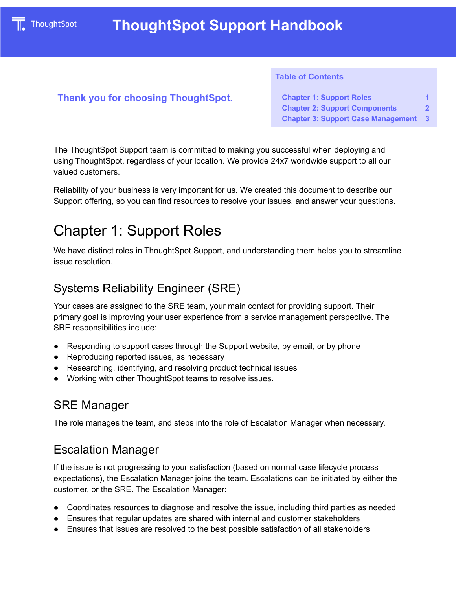#### **Table of Contents**

#### **Thank you for choosing ThoughtSpot.**

**Chapter 1: [Support](#page-0-0) Roles [1](#page-0-0) Chapter 2: Support [Components](#page-1-0) [2](#page-1-0) Chapter 3: Support Case [Management](#page-3-0) [3](#page-3-0)**

The ThoughtSpot Support team is committed to making you successful when deploying and using ThoughtSpot, regardless of your location. We provide 24x7 worldwide support to all our valued customers.

Reliability of your business is very important for us. We created this document to describe our Support offering, so you can find resources to resolve your issues, and answer your questions.

# <span id="page-0-0"></span>Chapter 1: Support Roles

We have distinct roles in ThoughtSpot Support, and understanding them helps you to streamline issue resolution.

## Systems Reliability Engineer (SRE)

Your cases are assigned to the SRE team, your main contact for providing support. Their primary goal is improving your user experience from a service management perspective. The SRE responsibilities include:

- Responding to support cases through the Support website, by email, or by phone
- Reproducing reported issues, as necessary
- Researching, identifying, and resolving product technical issues
- Working with other ThoughtSpot teams to resolve issues.

## SRE Manager

The role manages the team, and steps into the role of Escalation Manager when necessary.

## Escalation Manager

If the issue is not progressing to your satisfaction (based on normal case lifecycle process expectations), the Escalation Manager joins the team. Escalations can be initiated by either the customer, or the SRE. The Escalation Manager:

- Coordinates resources to diagnose and resolve the issue, including third parties as needed
- Ensures that regular updates are shared with internal and customer stakeholders
- Ensures that issues are resolved to the best possible satisfaction of all stakeholders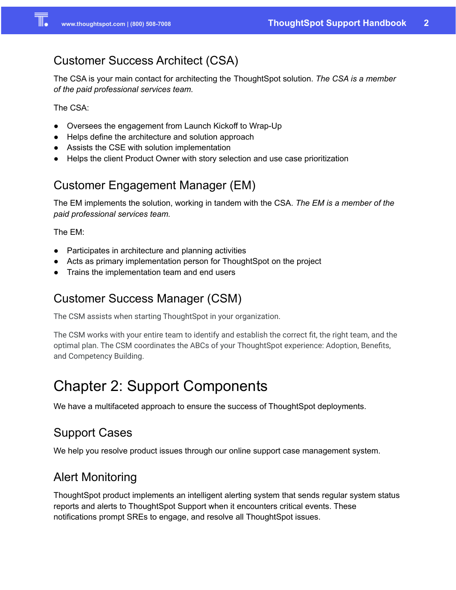# Customer Success Architect (CSA)

The CSA is your main contact for architecting the ThoughtSpot solution. *The CSA is a member of the paid professional services team.*

The CSA:

- Oversees the engagement from Launch Kickoff to Wrap-Up
- Helps define the architecture and solution approach
- Assists the CSE with solution implementation
- Helps the client Product Owner with story selection and use case prioritization

# Customer Engagement Manager (EM)

The EM implements the solution, working in tandem with the CSA. *The EM is a member of the paid professional services team.*

The EM:

- Participates in architecture and planning activities
- Acts as primary implementation person for ThoughtSpot on the project
- Trains the implementation team and end users

# Customer Success Manager (CSM)

The CSM assists when starting ThoughtSpot in your organization.

The CSM works with your entire team to identify and establish the correct fit, the right team, and the optimal plan. The CSM coordinates the ABCs of your ThoughtSpot experience: Adoption, Benefits, and Competency Building.

# <span id="page-1-0"></span>Chapter 2: Support Components

We have a multifaceted approach to ensure the success of ThoughtSpot deployments.

# Support Cases

We help you resolve product issues through our online support case management system.

# Alert Monitoring

ThoughtSpot product implements an intelligent alerting system that sends regular system status reports and alerts to ThoughtSpot Support when it encounters critical events. These notifications prompt SREs to engage, and resolve all ThoughtSpot issues.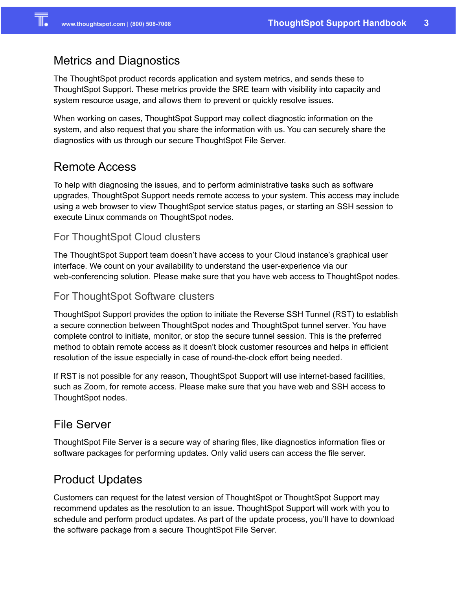## Metrics and Diagnostics

The ThoughtSpot product records application and system metrics, and sends these to ThoughtSpot Support. These metrics provide the SRE team with visibility into capacity and system resource usage, and allows them to prevent or quickly resolve issues.

When working on cases, ThoughtSpot Support may collect diagnostic information on the system, and also request that you share the information with us. You can securely share the diagnostics with us through our secure ThoughtSpot File Server.

## Remote Access

To help with diagnosing the issues, and to perform administrative tasks such as software upgrades, ThoughtSpot Support needs remote access to your system. This access may include using a web browser to view ThoughtSpot service status pages, or starting an SSH session to execute Linux commands on ThoughtSpot nodes.

#### For ThoughtSpot Cloud clusters

The ThoughtSpot Support team doesn't have access to your Cloud instance's graphical user interface. We count on your availability to understand the user-experience via our web-conferencing solution. Please make sure that you have web access to ThoughtSpot nodes.

#### For ThoughtSpot Software clusters

ThoughtSpot Support provides the option to initiate the Reverse SSH Tunnel (RST) to establish a secure connection between ThoughtSpot nodes and ThoughtSpot tunnel server. You have complete control to initiate, monitor, or stop the secure tunnel session. This is the preferred method to obtain remote access as it doesn't block customer resources and helps in efficient resolution of the issue especially in case of round-the-clock effort being needed.

If RST is not possible for any reason, ThoughtSpot Support will use internet-based facilities, such as Zoom, for remote access. Please make sure that you have web and SSH access to ThoughtSpot nodes.

### File Server

ThoughtSpot File Server is a secure way of sharing files, like diagnostics information files or software packages for performing updates. Only valid users can access the file server.

## Product Updates

Customers can request for the latest version of ThoughtSpot or ThoughtSpot Support may recommend updates as the resolution to an issue. ThoughtSpot Support will work with you to schedule and perform product updates. As part of the update process, you'll have to download the software package from a secure ThoughtSpot File Server.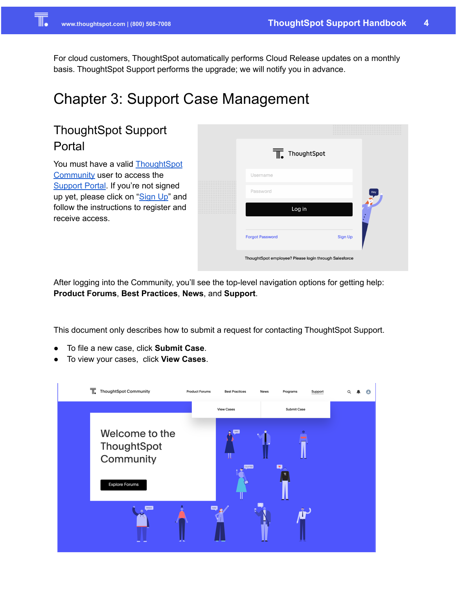For cloud customers, ThoughtSpot automatically performs Cloud Release updates on a monthly basis. ThoughtSpot Support performs the upgrade; we will notify you in advance.

# <span id="page-3-0"></span>Chapter 3: Support Case Management

# ThoughtSpot Support Portal

You must have a valid [ThoughtSpot](http://community.thoughtspot.com/) [Community](http://community.thoughtspot.com/) user to access the [Support](https://community.thoughtspot.com/customers/s/contactsupport) Portal. If you're not signed up yet, please click on "[Sign](https://community.thoughtspot.com/customers/s/login/SelfRegister) Up" and follow the instructions to register and receive access.

|        | $\overline{w}$ ThoughtSpot                            |                |     |
|--------|-------------------------------------------------------|----------------|-----|
|        | Username                                              |                |     |
|        | Password                                              |                | Hey |
| .<br>. | Log in                                                |                |     |
|        | <b>Forgot Password</b>                                | <b>Sign Up</b> |     |
|        | ThoughtSpot employee? Please login through Salesforce |                |     |

After logging into the Community, you'll see the top-level navigation options for getting help: **Product Forums**, **Best Practices**, **News**, and **Support**.

This document only describes how to submit a request for contacting ThoughtSpot Support.

- To file a new case, click **Submit Case**.
- To view your cases, click **View Cases**.

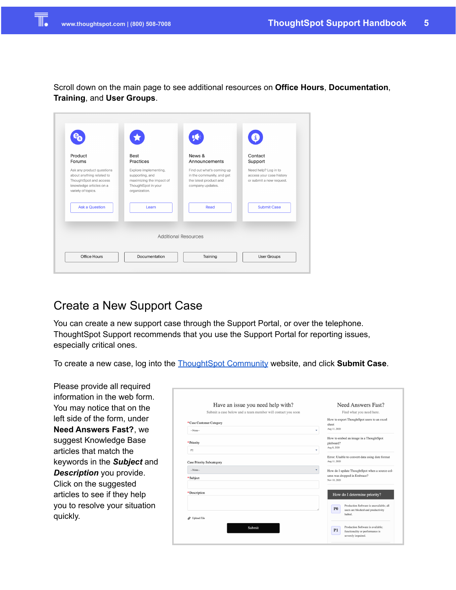Scroll down on the main page to see additional resources on **Office Hours**, **Documentation**, **Training**, and **User Groups**.

| Product<br>Forums                                                                                                                 | <b>Best</b><br>Practices                                                                                     | News &<br>Announcements                                                                              | Contact<br>Support                                                           |
|-----------------------------------------------------------------------------------------------------------------------------------|--------------------------------------------------------------------------------------------------------------|------------------------------------------------------------------------------------------------------|------------------------------------------------------------------------------|
| Ask any product questions<br>about anything related to<br>ThoughtSpot and access<br>knowledge articles on a<br>variety of topics. | Explore implementing,<br>supporting, and<br>maximizing the impact of<br>ThoughtSpot in your<br>organization. | Find out what's coming up<br>in the community, and get<br>the latest product and<br>company updates. | Need help? Log in to<br>access your case history<br>or submit a new request. |
| <b>Ask a Question</b>                                                                                                             | Learn                                                                                                        | Read                                                                                                 | <b>Submit Case</b>                                                           |
|                                                                                                                                   |                                                                                                              |                                                                                                      |                                                                              |

# Create a New Support Case

You can create a new support case through the Support Portal, or over the telephone. ThoughtSpot Support recommends that you use the Support Portal for reporting issues, especially critical ones.

To create a new case, log into the [ThoughtSpot](https://community.thoughtspot.com/customers/s/contactsupport) Community website, and click **Submit Case**.

Please provide all required information in the web form. You may notice that on the left side of the form, under **Need Answers Fast?**, we suggest Knowledge Base articles that match the keywords in the *Subject* and *Description* you provide. Click on the suggested articles to see if they help you to resolve your situation quickly.

| Have an issue you need help with?                           | Need Answers Fast?                                              |
|-------------------------------------------------------------|-----------------------------------------------------------------|
| Submit a case below and a team member will contact you soon | Find what you need here.                                        |
| *Case Customer Category                                     | How to export ThoughtSpot users to an excel<br>sheet            |
| $-None-$                                                    | Aug 11, 2020<br>٠                                               |
|                                                             | How to embed an image in a ThoughtSpot                          |
| *Priority                                                   | pinboard?<br>Aug 8, 2020                                        |
| P2                                                          | ٠                                                               |
| <b>Case Priority Subcategory</b>                            | Error: Unable to convert data using date format<br>Aug 11, 2020 |
| --None--                                                    | ۰<br>How do I update ThoughtSpot when a source col-             |
|                                                             | umn was dropped in Embrace?                                     |
| *Subject                                                    | Nov 10, 2020                                                    |
| * Description                                               | How do I determine priority?                                    |
|                                                             |                                                                 |
|                                                             | Production Software is unavailable; all<br>P <sub>0</sub>       |
|                                                             | users are blocked and productivity<br>halted.                   |
| Vpload File                                                 |                                                                 |
| Submit                                                      | Production Software is available:<br>P1                         |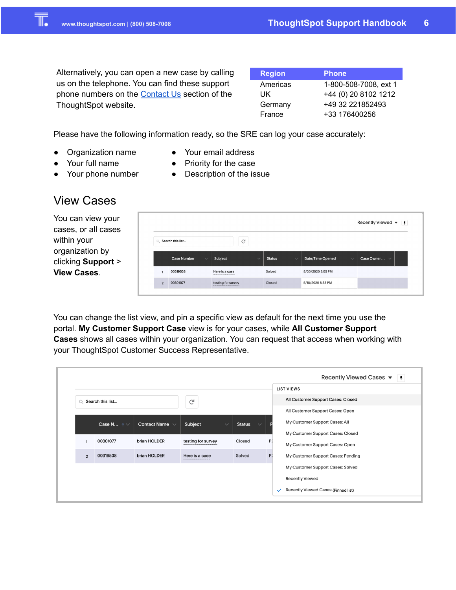Alternatively, you can open a new case by calling us on the telephone. You can find these support phone numbers on the **[Contact](https://www.thoughtspot.com/contact-us) Us** section of the ThoughtSpot website.

| <b>Region</b> | <b>Phone</b>          |
|---------------|-----------------------|
| Americas      | 1-800-508-7008, ext 1 |
| UK            | +44 (0) 20 8102 1212  |
| Germany       | +49 32 221852493      |
| France        | +33 176400256         |

Please have the following information ready, so the SRE can log your case accurately:

- Organization name
- Your email address ● Priority for the case

● Description of the issue

- Your full name
- Your phone number

## View Cases

You can view your cases, or all cases within your organization by clicking **Support** > **View Cases**.

| Recently Viewed $\blacktriangledown$ $\boxed{4}$ |                                    |                                                  |                               |                                  |                   |  |
|--------------------------------------------------|------------------------------------|--------------------------------------------------|-------------------------------|----------------------------------|-------------------|--|
|                                                  | Q Search this list                 | G                                                |                               |                                  |                   |  |
|                                                  | <b>Case Number</b><br>$\checkmark$ | Subject<br>$\checkmark$                          | <b>Status</b><br>$\checkmark$ | Date/Time Opened<br>$\checkmark$ | Case Owner $\vee$ |  |
|                                                  | 00319538                           | Here is a case<br>------------------------------ | Solved                        | 8/30/2020 2:05 PM                |                   |  |
| $\overline{2}$                                   | 00301077                           | testing for survey                               | Closed                        | 5/18/2020 8:33 PM                |                   |  |

You can change the list view, and pin a specific view as default for the next time you use the portal. **My Customer Support Case** view is for your cases, while **All Customer Support Cases** shows all cases within your organization. You can request that access when working with your ThoughtSpot Customer Success Representative.

|                |                   |                     |                         |                               |    | Recently Viewed Cases ▼<br>$\vert$ +                |
|----------------|-------------------|---------------------|-------------------------|-------------------------------|----|-----------------------------------------------------|
|                |                   |                     |                         |                               |    | <b>LIST VIEWS</b>                                   |
| $\Omega$       | Search this list  |                     | G                       |                               |    | All Customer Support Cases: Closed                  |
|                |                   |                     |                         |                               |    | All Customer Support Cases: Open                    |
|                | Case N $\uparrow$ | Contact Name $\vee$ | Subject<br>$\checkmark$ | <b>Status</b><br>$\checkmark$ |    | My Customer Support Cases: All                      |
|                |                   |                     |                         |                               |    | My Customer Support Cases: Closed                   |
|                | 00301077          | brian HOLDER        | testing for survey      | Closed                        | P2 | My Customer Support Cases: Open                     |
| $\overline{2}$ | 00319538          | brian HOLDER        | Here is a case          | Solved                        | P2 | My Customer Support Cases: Pending                  |
|                |                   |                     |                         |                               |    | My Customer Support Cases: Solved                   |
|                |                   |                     |                         |                               |    | <b>Recently Viewed</b>                              |
|                |                   |                     |                         |                               |    | Recently Viewed Cases (Pinned list)<br>$\checkmark$ |